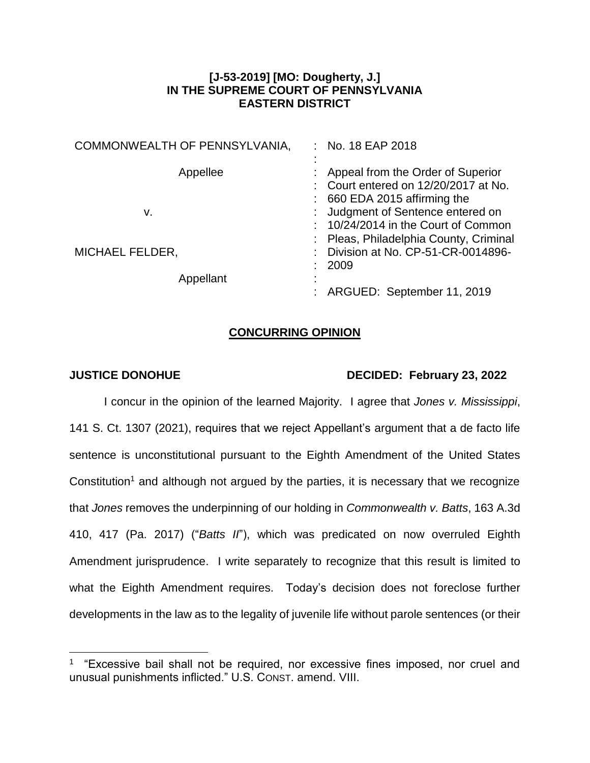## **[J-53-2019] [MO: Dougherty, J.] IN THE SUPREME COURT OF PENNSYLVANIA EASTERN DISTRICT**

| No. 18 EAP 2018                                                                                              |
|--------------------------------------------------------------------------------------------------------------|
| Appeal from the Order of Superior<br>Court entered on 12/20/2017 at No.<br>660 EDA 2015 affirming the        |
| Judgment of Sentence entered on<br>10/24/2014 in the Court of Common<br>Pleas, Philadelphia County, Criminal |
| Division at No. CP-51-CR-0014896-<br>2009                                                                    |
| ARGUED: September 11, 2019                                                                                   |
|                                                                                                              |

## **CONCURRING OPINION**

 $\overline{a}$ 

## **JUSTICE DONOHUE DECIDED: February 23, 2022**

I concur in the opinion of the learned Majority. I agree that *Jones v. Mississippi*, 141 S. Ct. 1307 (2021), requires that we reject Appellant's argument that a de facto life sentence is unconstitutional pursuant to the Eighth Amendment of the United States Constitution<sup>1</sup> and although not argued by the parties, it is necessary that we recognize that *Jones* removes the underpinning of our holding in *Commonwealth v. Batts*, 163 A.3d 410, 417 (Pa. 2017) ("*Batts II*"), which was predicated on now overruled Eighth Amendment jurisprudence. I write separately to recognize that this result is limited to what the Eighth Amendment requires. Today's decision does not foreclose further developments in the law as to the legality of juvenile life without parole sentences (or their

<sup>&</sup>lt;sup>1</sup> "Excessive bail shall not be required, nor excessive fines imposed, nor cruel and unusual punishments inflicted." U.S. CONST. amend. VIII.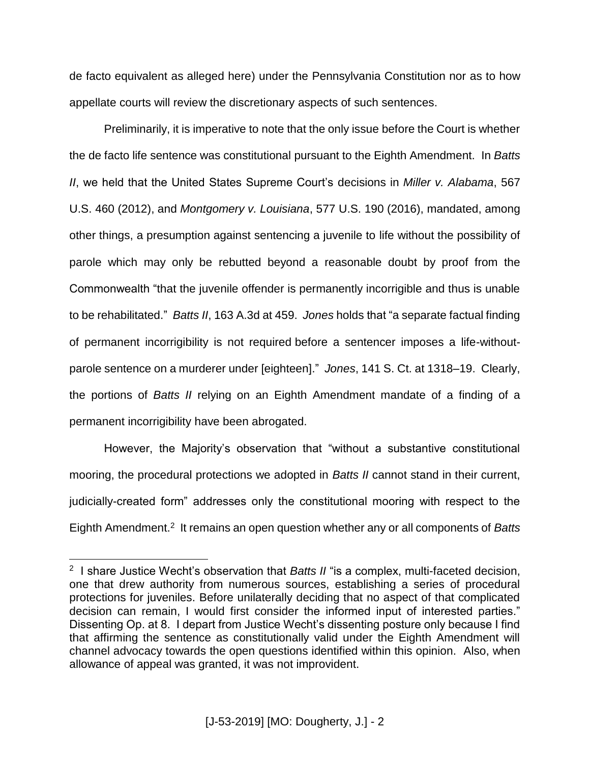de facto equivalent as alleged here) under the Pennsylvania Constitution nor as to how appellate courts will review the discretionary aspects of such sentences.

Preliminarily, it is imperative to note that the only issue before the Court is whether the de facto life sentence was constitutional pursuant to the Eighth Amendment. In *Batts II*, we held that the United States Supreme Court's decisions in *Miller v. Alabama*, 567 U.S. 460 (2012), and *Montgomery v. Louisiana*, 577 U.S. 190 (2016), mandated, among other things, a presumption against sentencing a juvenile to life without the possibility of parole which may only be rebutted beyond a reasonable doubt by proof from the Commonwealth "that the juvenile offender is permanently incorrigible and thus is unable to be rehabilitated." *Batts II*, 163 A.3d at 459. *Jones* holds that "a separate factual finding of permanent incorrigibility is not required before a sentencer imposes a life-withoutparole sentence on a murderer under [eighteen]." *Jones*, 141 S. Ct. at 1318–19. Clearly, the portions of *Batts II* relying on an Eighth Amendment mandate of a finding of a permanent incorrigibility have been abrogated.

However, the Majority's observation that "without a substantive constitutional mooring, the procedural protections we adopted in *Batts II* cannot stand in their current, judicially-created form" addresses only the constitutional mooring with respect to the Eighth Amendment.<sup>2</sup> It remains an open question whether any or all components of *Batts* 

 $\overline{a}$ 

<sup>&</sup>lt;sup>2</sup> I share Justice Wecht's observation that *Batts II* "is a complex, multi-faceted decision, one that drew authority from numerous sources, establishing a series of procedural protections for juveniles. Before unilaterally deciding that no aspect of that complicated decision can remain, I would first consider the informed input of interested parties." Dissenting Op. at 8. I depart from Justice Wecht's dissenting posture only because I find that affirming the sentence as constitutionally valid under the Eighth Amendment will channel advocacy towards the open questions identified within this opinion. Also, when allowance of appeal was granted, it was not improvident.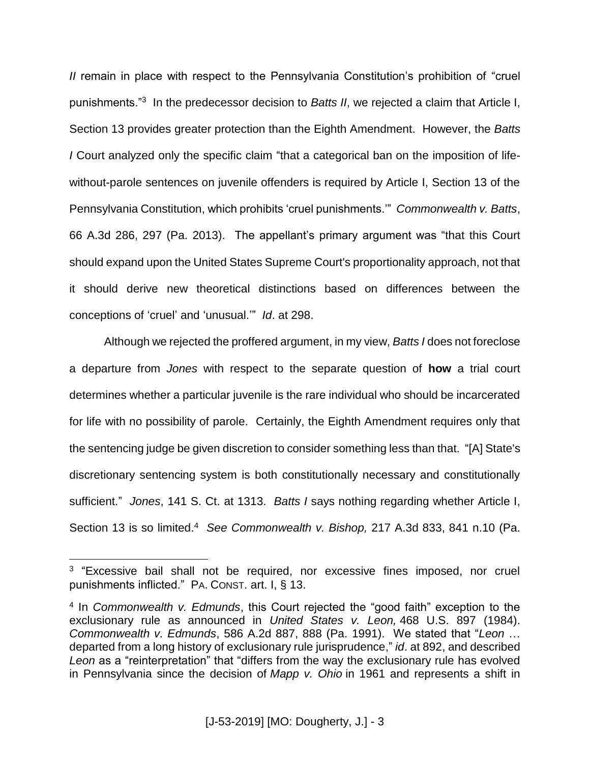*II* remain in place with respect to the Pennsylvania Constitution's prohibition of "cruel" punishments."<sup>3</sup> In the predecessor decision to *Batts II*, we rejected a claim that Article I, Section 13 provides greater protection than the Eighth Amendment. However, the *Batts I* Court analyzed only the specific claim "that a categorical ban on the imposition of lifewithout-parole sentences on juvenile offenders is required by Article I, Section 13 of the Pennsylvania Constitution, which prohibits 'cruel punishments.'" *Commonwealth v. Batts*, 66 A.3d 286, 297 (Pa. 2013). The appellant's primary argument was "that this Court should expand upon the United States Supreme Court's proportionality approach, not that it should derive new theoretical distinctions based on differences between the conceptions of 'cruel' and 'unusual.'" *Id*. at 298.

Although we rejected the proffered argument, in my view, *Batts I* does not foreclose a departure from *Jones* with respect to the separate question of **how** a trial court determines whether a particular juvenile is the rare individual who should be incarcerated for life with no possibility of parole. Certainly, the Eighth Amendment requires only that the sentencing judge be given discretion to consider something less than that. "[A] State's discretionary sentencing system is both constitutionally necessary and constitutionally sufficient." *Jones*, 141 S. Ct. at 1313. *Batts I* says nothing regarding whether Article I, Section 13 is so limited.<sup>4</sup> See Commonwealth v. Bishop, 217 A.3d 833, 841 n.10 (Pa.

 $\overline{a}$ 

<sup>&</sup>lt;sup>3</sup> "Excessive bail shall not be required, nor excessive fines imposed, nor cruel punishments inflicted." PA. CONST. art. I, § 13.

<sup>4</sup> In *Commonwealth v. Edmunds*, this Court rejected the "good faith" exception to the exclusionary rule as announced in *United States v. Leon,* 468 U.S. 897 (1984). *Commonwealth v. Edmunds*, 586 A.2d 887, 888 (Pa. 1991). We stated that "*Leon* … departed from a long history of exclusionary rule jurisprudence," *id*. at 892, and described *Leon* as a "reinterpretation" that "differs from the way the exclusionary rule has evolved in Pennsylvania since the decision of *Mapp v. Ohio* in 1961 and represents a shift in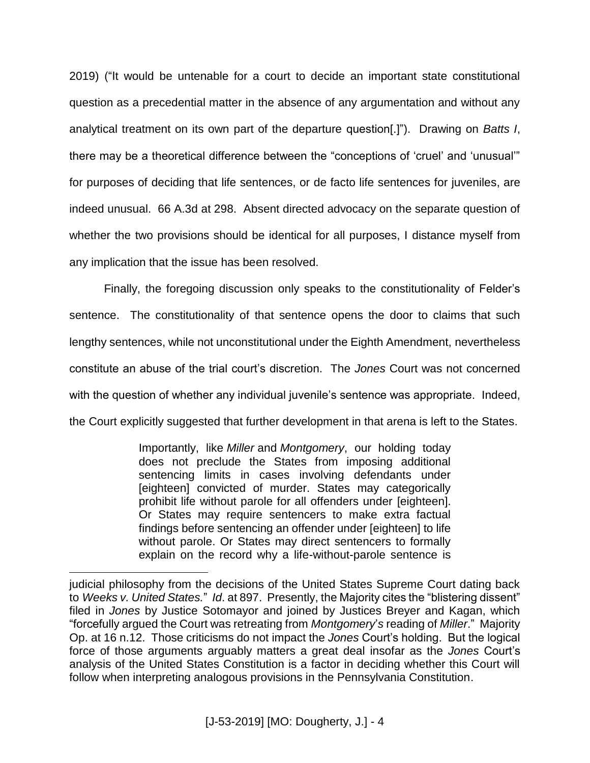2019) ("It would be untenable for a court to decide an important state constitutional question as a precedential matter in the absence of any argumentation and without any analytical treatment on its own part of the departure question[.]"). Drawing on *Batts I*, there may be a theoretical difference between the "conceptions of 'cruel' and 'unusual'" for purposes of deciding that life sentences, or de facto life sentences for juveniles, are indeed unusual. 66 A.3d at 298. Absent directed advocacy on the separate question of whether the two provisions should be identical for all purposes, I distance myself from any implication that the issue has been resolved.

Finally, the foregoing discussion only speaks to the constitutionality of Felder's sentence. The constitutionality of that sentence opens the door to claims that such lengthy sentences, while not unconstitutional under the Eighth Amendment, nevertheless constitute an abuse of the trial court's discretion. The *Jones* Court was not concerned with the question of whether any individual juvenile's sentence was appropriate. Indeed, the Court explicitly suggested that further development in that arena is left to the States.

> Importantly, like *Miller* and *Montgomery*, our holding today does not preclude the States from imposing additional sentencing limits in cases involving defendants under [eighteen] convicted of murder. States may categorically prohibit life without parole for all offenders under [eighteen]. Or States may require sentencers to make extra factual findings before sentencing an offender under [eighteen] to life without parole. Or States may direct sentencers to formally explain on the record why a life-without-parole sentence is

 $\overline{a}$ 

judicial philosophy from the decisions of the United States Supreme Court dating back to *Weeks v. United States.*" *Id*. at 897. Presently, the Majority cites the "blistering dissent" filed in *Jones* by Justice Sotomayor and joined by Justices Breyer and Kagan, which "forcefully argued the Court was retreating from *Montgomery*'*s* reading of *Miller*." Majority Op. at 16 n.12. Those criticisms do not impact the *Jones* Court's holding. But the logical force of those arguments arguably matters a great deal insofar as the *Jones* Court's analysis of the United States Constitution is a factor in deciding whether this Court will follow when interpreting analogous provisions in the Pennsylvania Constitution.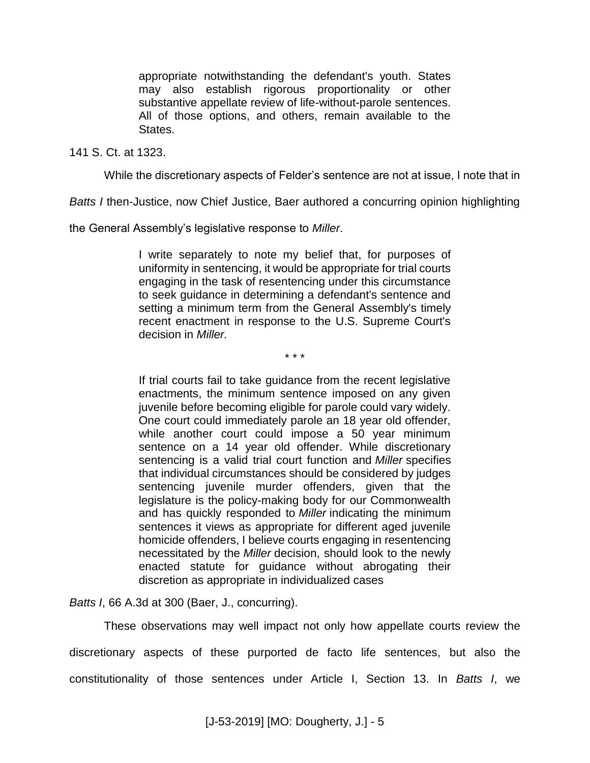appropriate notwithstanding the defendant's youth. States may also establish rigorous proportionality or other substantive appellate review of life-without-parole sentences. All of those options, and others, remain available to the States.

141 S. Ct. at 1323.

While the discretionary aspects of Felder's sentence are not at issue, I note that in

*Batts I* then-Justice, now Chief Justice, Baer authored a concurring opinion highlighting

the General Assembly's legislative response to *Miller*.

I write separately to note my belief that, for purposes of uniformity in sentencing, it would be appropriate for trial courts engaging in the task of resentencing under this circumstance to seek guidance in determining a defendant's sentence and setting a minimum term from the General Assembly's timely recent enactment in response to the U.S. Supreme Court's decision in *Miller.*

\* \* \*

If trial courts fail to take guidance from the recent legislative enactments, the minimum sentence imposed on any given juvenile before becoming eligible for parole could vary widely. One court could immediately parole an 18 year old offender, while another court could impose a 50 year minimum sentence on a 14 year old offender. While discretionary sentencing is a valid trial court function and *Miller* specifies that individual circumstances should be considered by judges sentencing juvenile murder offenders, given that the legislature is the policy-making body for our Commonwealth and has quickly responded to *Miller* indicating the minimum sentences it views as appropriate for different aged juvenile homicide offenders, I believe courts engaging in resentencing necessitated by the *Miller* decision, should look to the newly enacted statute for guidance without abrogating their discretion as appropriate in individualized cases

*Batts I*, 66 A.3d at 300 (Baer, J., concurring).

These observations may well impact not only how appellate courts review the discretionary aspects of these purported de facto life sentences, but also the constitutionality of those sentences under Article I, Section 13. In *Batts I*, we